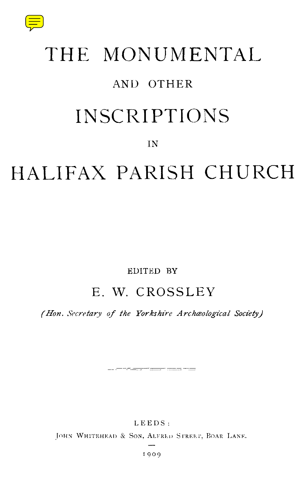

# THE MONUMENTAL AND OTHER INSCRIPTIONS

### IN

# HALIFAX PARISH CHURCH

#### EDITED BY

# E. W. CROSSLEY

*(Hon. Secretary of the Yorkshire Archaeological Society)*

<u> The Community of Community and Community of the Community of the Community of the Community of the Community of the Community of the Community of the Community of the Community of the Community of the Community of the Co</u>

LEEDS:

JOHN WHITEHEAD & SON, ALFRED STREET, BOAR LANE.

1909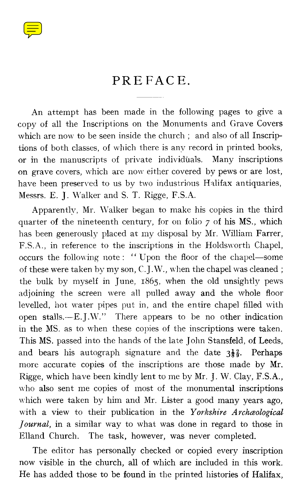

## PREFACE.

An attempt has been made in the following pages to give a copy of all the Inscriptions on the Monuments and Grave Covers which are now to be seen inside the church ; and also of all Inscriptions of both classes, of which there is any record in printed books, or in the manuscripts of private individuals. Many inscriptions on grave covers, which are now either covered by pews or are lost, have been preserved to us by two industrious Halifax antiquaries, Messrs. E. J. Walker and S. T. Rigge, F.S.A.

Apparently, Mr. Walker began to make his copies in the third quarter of the nineteenth century, for on folio 7 of his MS., which has been generously placed at my disposal by Mr. William Farrer, F.S.A., in reference to the inscriptions in the Holdsworth Chapel, occurs the following note : " Upon the floor of the chapel—some of these were taken by my son, C. J.W., when the chapel was cleaned ; the bulk by myself in June, 1865, when the old unsightly pews adjoining the screen were all pulled away and the whole floor levelled, hot water pipes put in, and the entire chapel filled with open stalls.—E. J.W." There appears to be no other indication in the MS. as to when these copies of the inscriptions were taken. This MS. passed into the hands of the late John Stansfeld, of Leeds, and bears his autograph signature and the date  $3\frac{1}{8}\frac{2}{9}$ . Perhaps more accurate copies of the inscriptions are those made by Mr. Rigge, which have been kindly lent to me by Mr. J. W. Clay, F.S.A., who also sent me copies of most of the monumental inscriptions which were taken by him and Mr. Lister a good many years ago, with a view to their publication in the *Yorkshire Archaeological Journal,* in a similar way to what was done in regard to those in Elland Church. The task, however, was never completed.

The editor has personally checked or copied every inscription now visible in the church, all of which are included in this work. He has added those to be found in the printed histories of Halifax,